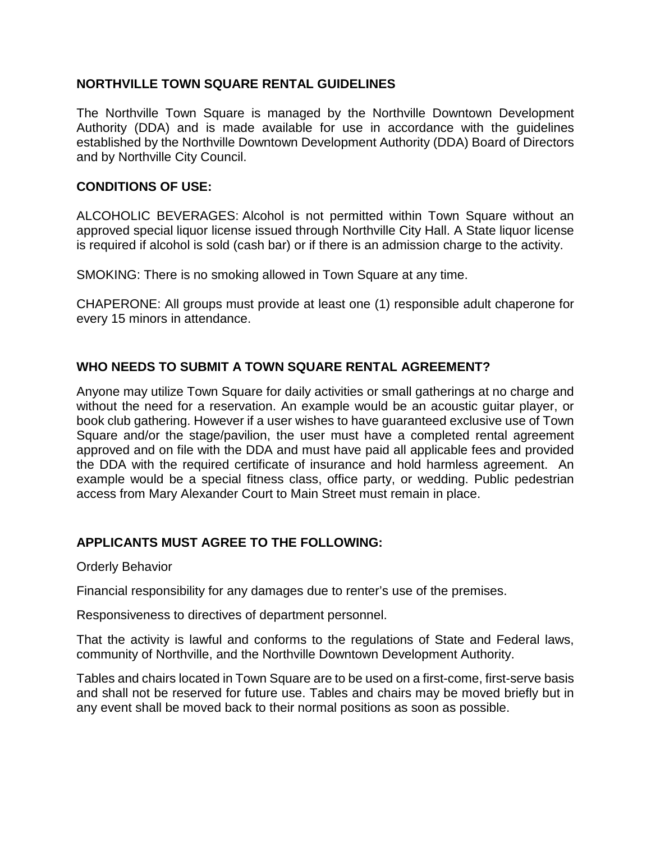## **NORTHVILLE TOWN SQUARE RENTAL GUIDELINES**

The Northville Town Square is managed by the Northville Downtown Development Authority (DDA) and is made available for use in accordance with the guidelines established by the Northville Downtown Development Authority (DDA) Board of Directors and by Northville City Council.

### **CONDITIONS OF USE:**

ALCOHOLIC BEVERAGES: Alcohol is not permitted within Town Square without an approved special liquor license issued through Northville City Hall. A State liquor license is required if alcohol is sold (cash bar) or if there is an admission charge to the activity.

SMOKING: There is no smoking allowed in Town Square at any time.

CHAPERONE: All groups must provide at least one (1) responsible adult chaperone for every 15 minors in attendance.

## **WHO NEEDS TO SUBMIT A TOWN SQUARE RENTAL AGREEMENT?**

Anyone may utilize Town Square for daily activities or small gatherings at no charge and without the need for a reservation. An example would be an acoustic guitar player, or book club gathering. However if a user wishes to have guaranteed exclusive use of Town Square and/or the stage/pavilion, the user must have a completed rental agreement approved and on file with the DDA and must have paid all applicable fees and provided the DDA with the required certificate of insurance and hold harmless agreement. An example would be a special fitness class, office party, or wedding. Public pedestrian access from Mary Alexander Court to Main Street must remain in place.

# **APPLICANTS MUST AGREE TO THE FOLLOWING:**

#### Orderly Behavior

Financial responsibility for any damages due to renter's use of the premises.

Responsiveness to directives of department personnel.

That the activity is lawful and conforms to the regulations of State and Federal laws, community of Northville, and the Northville Downtown Development Authority.

Tables and chairs located in Town Square are to be used on a first-come, first-serve basis and shall not be reserved for future use. Tables and chairs may be moved briefly but in any event shall be moved back to their normal positions as soon as possible.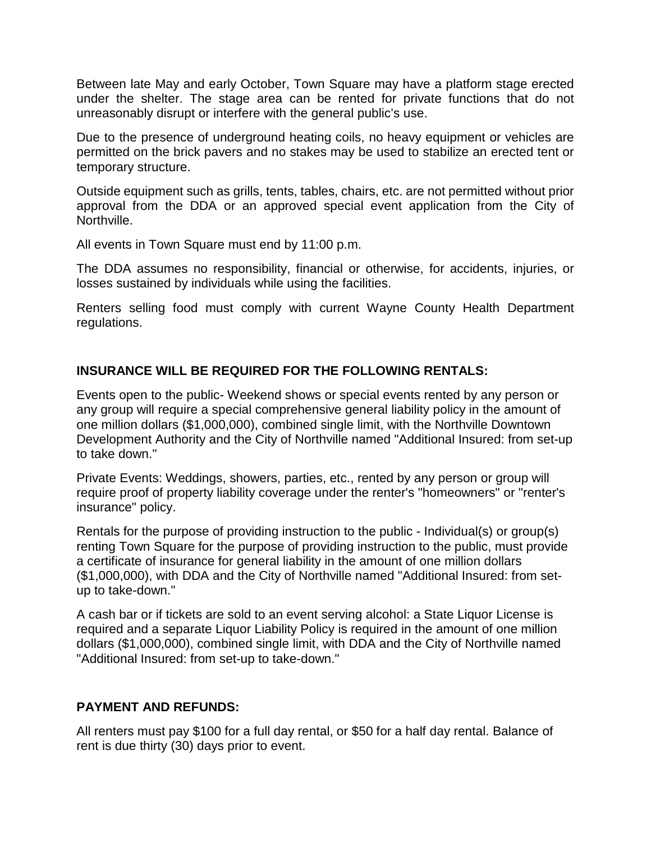Between late May and early October, Town Square may have a platform stage erected under the shelter. The stage area can be rented for private functions that do not unreasonably disrupt or interfere with the general public's use.

Due to the presence of underground heating coils, no heavy equipment or vehicles are permitted on the brick pavers and no stakes may be used to stabilize an erected tent or temporary structure.

Outside equipment such as grills, tents, tables, chairs, etc. are not permitted without prior approval from the DDA or an approved special event application from the City of Northville.

All events in Town Square must end by 11:00 p.m.

The DDA assumes no responsibility, financial or otherwise, for accidents, injuries, or losses sustained by individuals while using the facilities.

Renters selling food must comply with current Wayne County Health Department regulations.

# **INSURANCE WILL BE REQUIRED FOR THE FOLLOWING RENTALS:**

Events open to the public- Weekend shows or special events rented by any person or any group will require a special comprehensive general liability policy in the amount of one million dollars (\$1,000,000), combined single limit, with the Northville Downtown Development Authority and the City of Northville named "Additional Insured: from set-up to take down."

Private Events: Weddings, showers, parties, etc., rented by any person or group will require proof of property liability coverage under the renter's "homeowners" or "renter's insurance" policy.

Rentals for the purpose of providing instruction to the public - Individual(s) or group(s) renting Town Square for the purpose of providing instruction to the public, must provide a certificate of insurance for general liability in the amount of one million dollars (\$1,000,000), with DDA and the City of Northville named "Additional Insured: from setup to take-down."

A cash bar or if tickets are sold to an event serving alcohol: a State Liquor License is required and a separate Liquor Liability Policy is required in the amount of one million dollars (\$1,000,000), combined single limit, with DDA and the City of Northville named "Additional Insured: from set-up to take-down."

### **PAYMENT AND REFUNDS:**

All renters must pay \$100 for a full day rental, or \$50 for a half day rental. Balance of rent is due thirty (30) days prior to event.